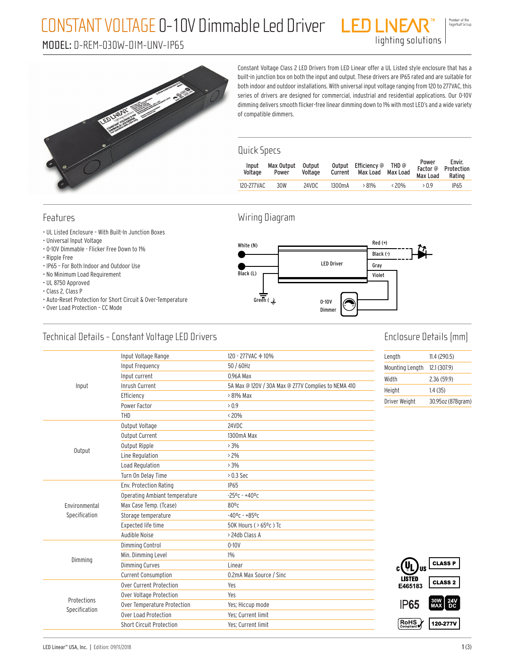### CONSTANT VOLTAGE 0-10V Dimmable Led Driver

#### MODEL: D-REM-030W-DIM-UNV-IP65

Member of the<br>Fagerhult Group

lighting solutions



Constant Voltage Class 2 LED Drivers from LED Linear offer a UL Listed style enclosure that has a built-in junction box on both the input and output. These drivers are IP65 rated and are suitable for both indoor and outdoor installations. With universal input voltage ranging from 120 to 277VAC, this series of drivers are designed for commercial, industrial and residential applications. Our 0-10V dimming delivers smooth flicker-free linear dimming down to 1% with most LED's and a wide variety of compatible dimmers.

#### Quick Specs

| Input<br>Voltage | Max Output<br>Power | Output<br>Voltage |                     | Output Efficiency @ THD @<br>Current Max Load Max Load |                | Power<br>Max Load Rating | Envir.<br>Factor @ Protection |
|------------------|---------------------|-------------------|---------------------|--------------------------------------------------------|----------------|--------------------------|-------------------------------|
| 120-277VAC       | 30W                 | 24VDC             | 1300 <sub>m</sub> A | $>81\%$                                                | $\langle 20\%$ | >0.9                     | <b>IP65</b>                   |
|                  |                     |                   |                     |                                                        |                |                          |                               |

#### Features

- UL Listed Enclosure With Built-In Junction Boxes
- Universal Input Voltage
- 0-10V Dimmable Flicker Free Down to 1%
- Ripple Free
- IP65 For Both Indoor and Outdoor Use
- No Minimum Load Requirement
- UL 8750 Approved
- Class 2, Class P
- Auto-Reset Protection for Short Circuit & Over-Temperature
- Over Load Protection CC Mode

#### Wiring Diagram



#### Technical Details - Constant Voltage LED Drivers

### Enclosure Details (mm)

|                              | Input Voltage Range             | 120 - 277 VAC + 10%                                 | Length          | 11.4(290.5)                                                                         |
|------------------------------|---------------------------------|-----------------------------------------------------|-----------------|-------------------------------------------------------------------------------------|
|                              | Input Frequency                 | 50 / 60Hz                                           | Mounting Length | 12.1 (307.9)                                                                        |
|                              | Input current                   | 0.96A Max                                           | Width           | 2.36(59.9)                                                                          |
| Input                        | <b>Inrush Current</b>           | 5A Max @ 120V / 30A Max @ 277V Complies to NEMA 410 | Height          | 1.4(35)                                                                             |
|                              | Efficiency                      | > 81% Max                                           | Driver Weight   | 30.95oz (878gram)                                                                   |
|                              | Power Factor                    | > 0.9                                               |                 |                                                                                     |
|                              | THD                             | $< 20\%$                                            |                 |                                                                                     |
|                              | Output Voltage                  | 24VDC                                               |                 |                                                                                     |
|                              | Output Current                  | 1300mA Max                                          |                 |                                                                                     |
| Output                       | Output Ripple                   | $>3\%$                                              |                 |                                                                                     |
|                              | Line Regulation                 | $>2\%$                                              |                 |                                                                                     |
|                              | Load Regulation                 | $>3\%$                                              |                 |                                                                                     |
|                              | Turn On Delay Time              | $> 0.3$ Sec                                         |                 |                                                                                     |
|                              | Env. Protection Rating          | <b>IP65</b>                                         |                 |                                                                                     |
|                              | Operating Ambiant temperature   | $-25^0$ c - $+40^0$ c                               |                 |                                                                                     |
| Environmental                | Max Case Temp. (Tcase)          | $80^{\circ}$ c                                      |                 |                                                                                     |
| Specification                | Storage temperature             | $-40$ °C - +85°C                                    |                 |                                                                                     |
|                              | Expected life time              | 50K Hours ( > 65°c) Tc                              |                 |                                                                                     |
|                              | Audible Noise                   | > 24db Class A                                      |                 |                                                                                     |
|                              | Dimming Control                 | $0 - 10V$                                           |                 |                                                                                     |
|                              | Min. Dimming Level              | $1\%$                                               |                 |                                                                                     |
| Dimming                      | <b>Dimming Curves</b>           | Linear                                              | US.             | <b>CLASS P</b>                                                                      |
|                              | <b>Current Consumption</b>      | 0.2mA Max Source / Sinc                             | <b>LISTED</b>   |                                                                                     |
|                              | Over Current Protection         | Yes                                                 | E465183         | <b>CLASS 2</b>                                                                      |
|                              | Over Voltage Protection         | Yes                                                 |                 |                                                                                     |
| Protections<br>Specification | Over Temperature Protection     | Yes; Hiccup mode                                    | <b>IP65</b>     | $\begin{array}{ c c }\n 30W & 24V \\ \hline\n \text{MAX} & \text{DC}\n \end{array}$ |
|                              | Over Load Protection            | Yes: Current limit                                  |                 |                                                                                     |
|                              | <b>Short Circuit Protection</b> | Yes: Current limit                                  | RoHS            | 120-277V                                                                            |
|                              |                                 |                                                     |                 |                                                                                     |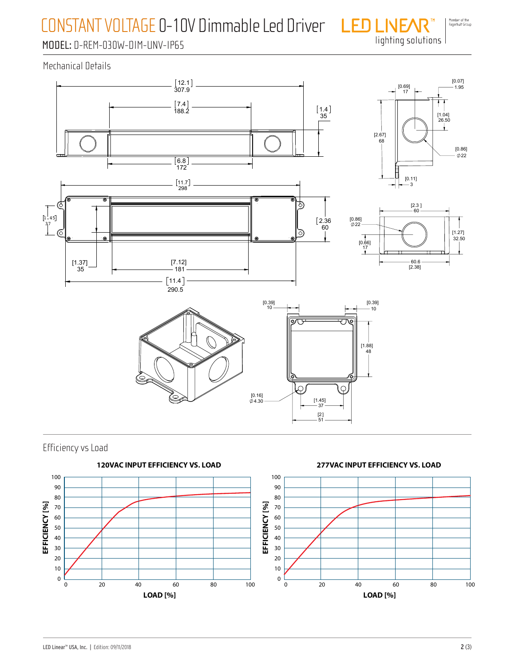## CONSTANT VOLTAGE 0-10V Dimmable Led Driver

Member of the<br>Fagerhult Group lighting solutions

### MODEL: D-REM-030W-DIM-UNV-IP65

Mechanical Details





Efficiency vs Load